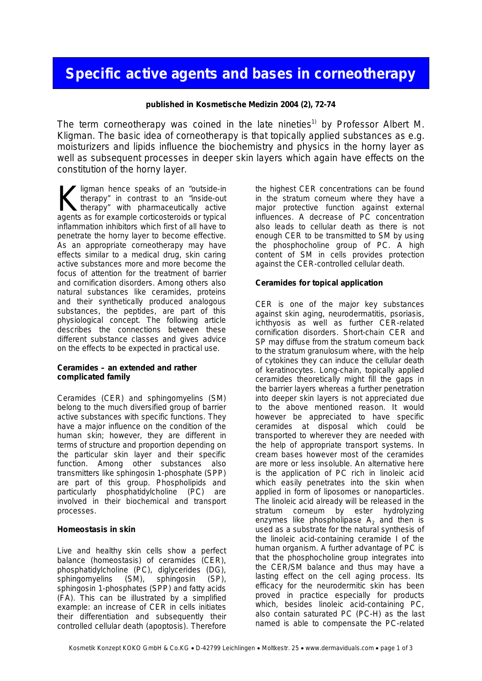# **Specific active agents and bases in corneotherapy**

**published in Kosmetische Medizin 2004 (2), 72-74**

The term corneotherapy was coined in the late nineties<sup>1)</sup> by Professor Albert M. Kligman. The basic idea of corneotherapy is that topically applied substances as e.g. moisturizers and lipids influence the biochemistry and physics in the horny layer as well as subsequent processes in deeper skin layers which again have effects on the constitution of the horny layer.

Iligman hence speaks of an "outside-in therapy" in contrast to an "inside-out therapy" with pharmaceutically active K ligman hence speaks of an "outside-in therapy" in contrast to an "inside-out therapy" with pharmaceutically active agents as for example corticosteroids or typical inflammation inhibitors which first of all have to penetrate the horny layer to become effective. As an appropriate corneotherapy may have effects similar to a medical drug, skin caring active substances more and more become the focus of attention for the treatment of barrier and cornification disorders. Among others also natural substances like ceramides, proteins and their synthetically produced analogous substances, the peptides, are part of this physiological concept. The following article describes the connections between these different substance classes and gives advice on the effects to be expected in practical use.

**Ceramides – an extended and rather complicated family**

Ceramides (CER) and sphingomyelins (SM) belong to the much diversified group of barrier active substances with specific functions. They have a major influence on the condition of the human skin; however, they are different in terms of structure and proportion depending on the particular skin layer and their specific function. Among other substances also transmitters like sphingosin 1-phosphate (SPP) are part of this group. Phospholipids and particularly phosphatidylcholine (PC) are involved in their biochemical and transport processes.

#### **Homeostasis in skin**

Live and healthy skin cells show a perfect balance (homeostasis) of ceramides (CER), phosphatidylcholine (PC), diglycerides (DG), sphingomyelins (SM), sphingosin (SP), sphingosin 1-phosphates (SPP) and fatty acids (FA). This can be illustrated by a simplified example: an increase of CER in cells initiates their differentiation and subsequently their controlled cellular death (apoptosis). Therefore

the highest CER concentrations can be found in the stratum corneum where they have a major protective function against external influences. A decrease of PC concentration also leads to cellular death as there is not enough CER to be transmitted to SM by using the phosphocholine group of PC. A high content of SM in cells provides protection against the CER-controlled cellular death.

**Ceramides for topical application**

CER is one of the major key substances against skin aging, neurodermatitis, psoriasis, ichthyosis as well as further CER-related cornification disorders. Short-chain CER and SP may diffuse from the stratum corneum back to the stratum granulosum where, with the help of cytokines they can induce the cellular death of keratinocytes. Long-chain, topically applied ceramides theoretically might fill the gaps in the barrier layers whereas a further penetration into deeper skin layers is not appreciated due to the above mentioned reason. It would however be appreciated to have specific ceramides at disposal which could be transported to wherever they are needed with the help of appropriate transport systems. In cream bases however most of the ceramides are more or less insoluble. An alternative here is the application of PC rich in linoleic acid which easily penetrates into the skin when applied in form of liposomes or nanoparticles. The linoleic acid already will be released in the stratum corneum by ester hydrolyzing enzymes like phospholipase  $A_2$  and then is used as a substrate for the natural synthesis of the linoleic acid-containing ceramide I of the human organism. A further advantage of PC is that the phosphocholine group integrates into the CER/SM balance and thus may have a lasting effect on the cell aging process. Its efficacy for the neurodermitic skin has been proved in practice especially for products which, besides linoleic acid-containing PC, also contain saturated PC (PC-H) as the last named is able to compensate the PC-related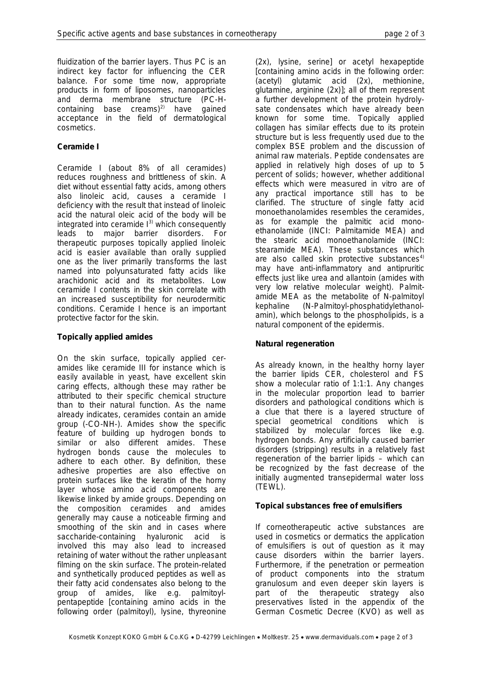fluidization of the barrier layers. Thus PC is an indirect key factor for influencing the CER balance. For some time now, appropriate products in form of liposomes, nanoparticles and derma membrane structure (PC-Hcontaining base creams)<sup>2)</sup> have gained acceptance in the field of dermatological cosmetics.

# **Ceramide I**

Ceramide I (about 8% of all ceramides) reduces roughness and brittleness of skin. A diet without essential fatty acids, among others also linoleic acid, causes a ceramide I deficiency with the result that instead of linoleic acid the natural oleic acid of the body will be integrated into ceramide  $I<sup>3</sup>$  which consequently leads to major barrier disorders. For therapeutic purposes topically applied linoleic acid is easier available than orally supplied one as the liver primarily transforms the last named into polyunsaturated fatty acids like arachidonic acid and its metabolites. Low ceramide I contents in the skin correlate with an increased susceptibility for neurodermitic conditions. Ceramide I hence is an important protective factor for the skin.

### **Topically applied amides**

On the skin surface, topically applied ceramides like ceramide III for instance which is easily available in yeast, have excellent skin caring effects, although these may rather be attributed to their specific chemical structure than to their natural function. As the name already indicates, cer*amides* contain an *amide* group (-CO-NH-). Amides show the specific feature of building up hydrogen bonds to similar or also different amides. These hydrogen bonds cause the molecules to adhere to each other. By definition, these adhesive properties are also effective on protein surfaces like the keratin of the horny layer whose amino acid components are likewise linked by amide groups. Depending on the composition ceramides and amides generally may cause a noticeable firming and smoothing of the skin and in cases where saccharide-containing hyaluronic acid is involved this may also lead to increased retaining of water without the rather unpleasant filming on the skin surface. The protein-related and synthetically produced peptides as well as their fatty acid condensates also belong to the group of amides, like e.g. palmitoylpentapeptide [containing amino acids in the following order (palmitoyl), lysine, thyreonine

(2x), lysine, serine] or acetyl hexapeptide [containing amino acids in the following order: (acetyl) glutamic acid (2x), methionine, glutamine, arginine (2x)]; all of them represent a further development of the protein hydrolysate condensates which have already been known for some time. Topically applied collagen has similar effects due to its protein structure but is less frequently used due to the complex BSE problem and the discussion of animal raw materials. Peptide condensates are applied in relatively high doses of up to 5 percent of solids; however, whether additional effects which were measured in vitro are of any practical importance still has to be clarified. The structure of single fatty acid monoethanolamides resembles the ceramides, as for example the palmitic acid monoethanolamide (INCI: Palmitamide MEA) and the stearic acid monoethanolamide (INCI: stearamide MEA). These substances which are also called skin protective substances $4$ ) may have anti-inflammatory and antipruritic effects just like urea and allantoin (amides with very low relative molecular weight). Palmitamide MEA as the metabolite of N-palmitoyl kephaline (N-Palmitoyl-phosphatidylethanolamin), which belongs to the phospholipids, is a natural component of the epidermis.

# **Natural regeneration**

As already known, in the healthy horny layer the barrier lipids CER, cholesterol and FS show a molecular ratio of 1:1:1. Any changes in the molecular proportion lead to barrier disorders and pathological conditions which is a clue that there is a layered structure of special geometrical conditions which is stabilized by molecular forces like e.g. hydrogen bonds. Any artificially caused barrier disorders (stripping) results in a relatively fast regeneration of the barrier lipids – which can be recognized by the fast decrease of the initially augmented transepidermal water loss (TEWL).

# **Topical substances free of emulsifiers**

If corneotherapeutic active substances are used in cosmetics or dermatics the application of emulsifiers is out of question as it may cause disorders within the barrier layers. Furthermore, if the penetration or permeation of product components into the stratum granulosum and even deeper skin layers is part of the therapeutic strategy also preservatives listed in the appendix of the German Cosmetic Decree (KVO) as well as